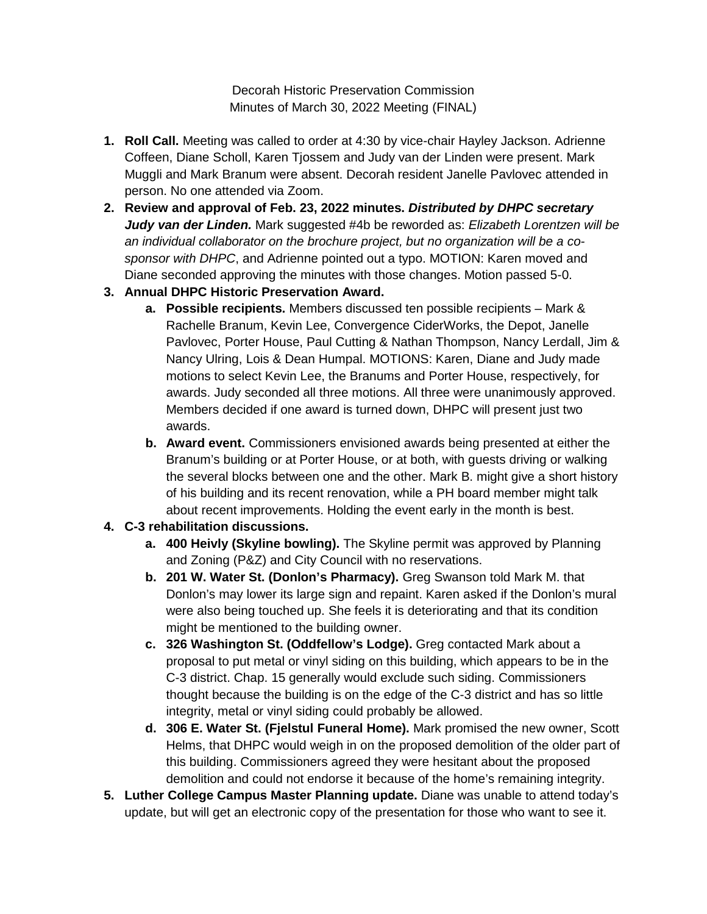Decorah Historic Preservation Commission Minutes of March 30, 2022 Meeting (FINAL)

- **1. Roll Call.** Meeting was called to order at 4:30 by vice-chair Hayley Jackson. Adrienne Coffeen, Diane Scholl, Karen Tjossem and Judy van der Linden were present. Mark Muggli and Mark Branum were absent. Decorah resident Janelle Pavlovec attended in person. No one attended via Zoom.
- **2. Review and approval of Feb. 23, 2022 minutes.** *Distributed by DHPC secretary Judy van der Linden.* Mark suggested #4b be reworded as: *Elizabeth Lorentzen will be an individual collaborator on the brochure project, but no organization will be a cosponsor with DHPC*, and Adrienne pointed out a typo. MOTION: Karen moved and Diane seconded approving the minutes with those changes. Motion passed 5-0.
- **3. Annual DHPC Historic Preservation Award.**
	- **a. Possible recipients.** Members discussed ten possible recipients Mark & Rachelle Branum, Kevin Lee, Convergence CiderWorks, the Depot, Janelle Pavlovec, Porter House, Paul Cutting & Nathan Thompson, Nancy Lerdall, Jim & Nancy Ulring, Lois & Dean Humpal. MOTIONS: Karen, Diane and Judy made motions to select Kevin Lee, the Branums and Porter House, respectively, for awards. Judy seconded all three motions. All three were unanimously approved. Members decided if one award is turned down, DHPC will present just two awards.
	- **b. Award event.** Commissioners envisioned awards being presented at either the Branum's building or at Porter House, or at both, with guests driving or walking the several blocks between one and the other. Mark B. might give a short history of his building and its recent renovation, while a PH board member might talk about recent improvements. Holding the event early in the month is best.
- **4. C-3 rehabilitation discussions.**
	- **a. 400 Heivly (Skyline bowling).** The Skyline permit was approved by Planning and Zoning (P&Z) and City Council with no reservations.
	- **b. 201 W. Water St. (Donlon's Pharmacy).** Greg Swanson told Mark M. that Donlon's may lower its large sign and repaint. Karen asked if the Donlon's mural were also being touched up. She feels it is deteriorating and that its condition might be mentioned to the building owner.
	- **c. 326 Washington St. (Oddfellow's Lodge).** Greg contacted Mark about a proposal to put metal or vinyl siding on this building, which appears to be in the C-3 district. Chap. 15 generally would exclude such siding. Commissioners thought because the building is on the edge of the C-3 district and has so little integrity, metal or vinyl siding could probably be allowed.
	- **d. 306 E. Water St. (Fjelstul Funeral Home).** Mark promised the new owner, Scott Helms, that DHPC would weigh in on the proposed demolition of the older part of this building. Commissioners agreed they were hesitant about the proposed demolition and could not endorse it because of the home's remaining integrity.
- **5. Luther College Campus Master Planning update.** Diane was unable to attend today's update, but will get an electronic copy of the presentation for those who want to see it.